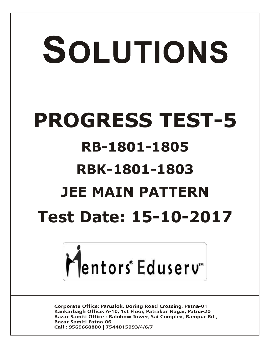# SOLUTIONS **PROGRESS TEST-5 RB-1801-1805 RBK-1801-1803 JEE MAIN PATTERN Test Date: 15-10-2017**



**Corporate Office: Paruslok, Boring Road Crossing, Patna-01** Kankarbagh Office: A-10, 1st Floor, Patrakar Nagar, Patna-20 Bazar Samiti Office: Rainbow Tower, Sai Complex, Rampur Rd., **Bazar Samiti Patna-06** Call: 9569668800 | 7544015993/4/6/7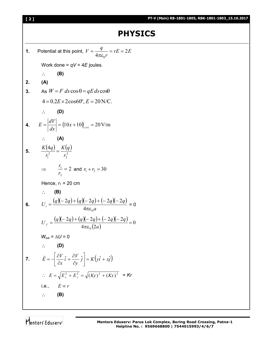# **PHYSICS**

1. Potential at this point, 
$$
V = \frac{q}{4\pi \epsilon_0 r} = rE = 2E
$$
  
\nWork done =  $qV = 4E$  joules.  
\n∴ **(B)**  
\n2. **(A)**  
\n3. As  $W = F ds \cos \theta = qE ds \cos \theta$   
\n $4 = 0.2E \times 2\cos 60^\circ, E = 20 \text{ N/C}$ .  
\n∴ **(D)**  
\n4.  $E = \left| \frac{dV}{dx} \right| = (10x + 10)_{x=1} = 20 \text{ V/m}$   
\n∴ **(A)**  
\n5.  $\frac{K(4q)}{r_1^2} = \frac{K(q)}{r_2^2}$   
\n⇒  $\frac{r_1}{r_2} = 2$  and  $r_1 + r_2 = 30$   
\nHence,  $r_1 = 20$  cm  
\n∴ **(B)**  
\n6.  $U_i = \frac{(q)(-2q)+(q)(-2q)+(-2q)(-2q)}{4\pi \epsilon_0 a} = 0$   
\n $U_f = \frac{(q)(-2q)+(q)(-2q)+(-2q)(-2q)}{4\pi \epsilon_0 (2a)} = 0$   
\n∴ **(D)**  
\n7.  $\vec{E} = -\left[\frac{\partial V}{\partial x} \hat{i} + \frac{\partial V}{\partial y} \hat{j}\right] = K(y\hat{i} + x\hat{j})$   
\n∴  $E = \sqrt{E_x^2 + E_y^2} = \sqrt{(Ky)^2 + (Kx)^2} = Kr$   
\ni.e.,  $E \propto r$   
\n∴ **(B)**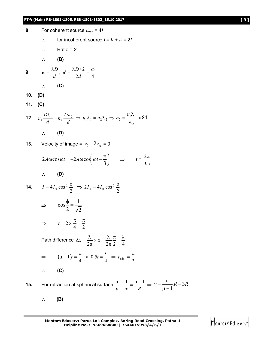### **PT-V (Main) RB-1801-1805, RBK-1801-1803\_15.10.2017 [ 3 ]**

| 8.        | For coherent source $I_{max} = 4I$                                                                                                                                    |
|-----------|-----------------------------------------------------------------------------------------------------------------------------------------------------------------------|
|           | for incoherent source $I = I_1 + I_2 = 2I$                                                                                                                            |
|           | $\therefore$ Ratio = 2                                                                                                                                                |
|           | $\therefore$ (B)                                                                                                                                                      |
|           | <b>9.</b> $\omega = \frac{\lambda D}{d}, \omega' = \frac{\lambda D/2}{2d} = \frac{\omega}{4}$                                                                         |
|           | $\therefore$ (C)                                                                                                                                                      |
| 10. $(D)$ |                                                                                                                                                                       |
| 11. $(C)$ |                                                                                                                                                                       |
|           | <b>12.</b> $n_1 \frac{D\lambda_1}{d} = n_2 \frac{D\lambda_2}{d} \Rightarrow n_1 \lambda_1 = n_2 \lambda_2 \Rightarrow n_2 = \frac{n_1 \lambda_1}{\lambda} \approx 84$ |
|           | $\therefore$ (D)                                                                                                                                                      |
|           | <b>13.</b> Velocity of image = $v_0 - 2v_m = 0$                                                                                                                       |
|           | $2A\omega\cos\omega t = -2A\omega\cos\left(\omega t - \frac{\pi}{3}\right) \implies t = \frac{2\pi}{3\omega}$                                                         |
|           | $\therefore$ (D)                                                                                                                                                      |
|           | <b>14.</b> $I = 4I_0 \cos^2 \frac{\phi}{2} \implies 2I_0 = 4I_0 \cos^2 \frac{\phi}{2}$                                                                                |
|           | $\Rightarrow \cos \frac{\phi}{2} = \frac{1}{\sqrt{2}}$                                                                                                                |
|           | $\Rightarrow$ $\phi = 2 \times \frac{\pi}{4} = \frac{\pi}{2}$                                                                                                         |
|           | Path difference $\Delta x = \frac{\lambda}{2\pi} \times \phi = \frac{\lambda}{2\pi} \frac{\pi}{2} = \frac{\lambda}{4}$                                                |
|           | $\Rightarrow$ $(\mu - 1)t = \frac{\lambda}{4}$ or $0.5t = \frac{\lambda}{4}$ $\Rightarrow$ $t_{\min} = \frac{\lambda}{2}$                                             |
|           | (C)                                                                                                                                                                   |
| 15.       | For refraction at spherical surface $\frac{\mu}{\nu} - \frac{1}{\infty} = \frac{\mu - 1}{R} \Rightarrow \nu = \frac{\mu}{\mu - 1}R = 3R$                              |
|           | (B)                                                                                                                                                                   |

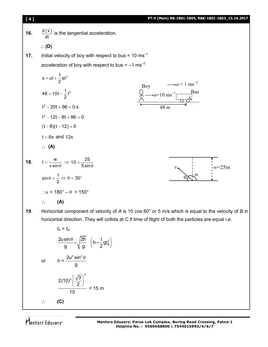

**19.** Horizontal component of velocity of *A* is 10 cos 60° or 5 m/s which is equal to the velocity of *B* in horizontal direction. They will collide at *C* if time of flight of both the particles are equal i.e.

$$
t_{A} = t_{B}
$$
\n
$$
\frac{2u\sin\theta}{g} = \sqrt{\frac{2h}{g}} \quad \left(h = \frac{1}{2}gt_{B}^{2}\right)
$$
\nor

\n
$$
h = \frac{2u^{2}\sin^{2}\theta}{g}
$$
\n
$$
\frac{2(10)^{2}\left(\frac{\sqrt{3}}{2}\right)^{2}}{10} = 15 \text{ m}
$$
\n
$$
\therefore \quad \text{(C)}
$$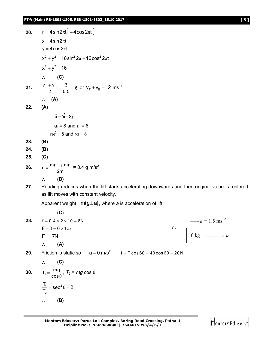**20.**  $\vec{r} = 4 \sin 2\pi t \hat{i} + 4 \cos 2\pi t \hat{j}$  $x = 4 \sin 2\pi t$  $v = 4 \cos 2\pi t$  $x^{2} + y^{2} = 16 \sin^{2} 2\pi + 16 \cos^{2} 2\pi t$  $x^2 + y^2 = 16$  $\therefore$  (C) **21.**  $\frac{V_{\rm T} + V_{\rm B}}{2} = \frac{3}{0.5} = 6$  $\frac{V_{\rm B}}{2} = \frac{3}{0.5} = 6$  or  $V_{\rm T} + V_{\rm B} = 12$  ms<sup>-1</sup> **(A) 22. (A)**  $\vec{a} = 6\hat{i} - 8\hat{j}$  $\therefore$  a<sub>r</sub> = 8 and a<sub>t</sub> = 6  $r\omega^2 = 8$  and  $r\alpha = 6$ **23. (B) 24. (B) 25. (C) 26.**  $a = \frac{mg - \mu mg}{2m}$  $=\frac{mg - \mu mg}{2m} = 0.4 \text{ g m/s}^2$  **(B) 27.** Reading reduces when the lift starts accelerating downwards and then original value is restored as lift moves with constant velocity. Apparent weight =  $m(g \pm a)$ , where *a* is acceleration of lift. **(C) 28.**  $f = 0.4 \times 2 \times 10 = 8N$  $F - 8 = 6 \times 1.5$  $F = 17N$  $\therefore$  (A) **29.** Friction is static so  $a = 0$  m/s<sup>2</sup>,  $f = T \cos 60 = 40 \cos 60 = 20$  N **(C) 30.**  $T_1 = \frac{mg}{\cos\theta}$ ,  $T_2$  =  $mg \cos \theta$  $1 - \cos^2$ 2  $\frac{T_1}{T_1}$  = sec<sup>2</sup> $\theta$  = 2 T,  $=$  sec<sup>2</sup> $\theta$  = 2 **(B)** 6 kg  $\begin{array}{c} \hline \hline \hline \end{array}$ *f*  $\rightarrow a = 1.5$  ms<sup>-2</sup>

**Mentors Eduserv: Parus Lok Complex, Boring Road Crossing, Patna-1 Helpline No. : 9569668800 | 7544015993/4/6/7**

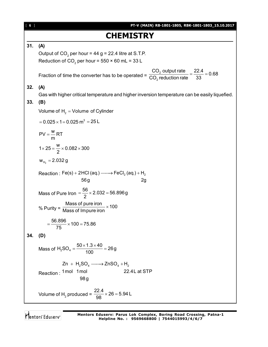| 6 ] | PT-V (MAIN) RB-1801-1805, RBK-1801-1803_15.10.2017                                                              |
|-----|-----------------------------------------------------------------------------------------------------------------|
|     | <b>CHEMISTRY</b>                                                                                                |
| 31. | (A)                                                                                                             |
|     | Output of $CO2$ per hour = 44 g = 22.4 litre at S.T.P.                                                          |
|     | Reduction of CO <sub>2</sub> per hour = $550 \times 60$ mL = 33 L                                               |
|     | $\frac{CO_2}{CO_2}$ output rate $\frac{22.4}{33} = 0.68$<br>Fraction of time the converter has to be operated = |
| 32. | (A)                                                                                                             |
|     | Gas with higher critical temperature and higher inversion temperature can be easily liquefied.                  |
| 33. | (B)                                                                                                             |
|     | Volume of $H_2 =$ Volume of Cylinder                                                                            |
|     | $= 0.025 \times 1 = 0.025$ m <sup>3</sup> = 25 L                                                                |
|     | $PV = \frac{W}{m}RT$                                                                                            |
|     | $1 \times 25 = \frac{W}{2} \times 0.082 \times 300$                                                             |
|     | $W_{H_2} = 2.032 g$                                                                                             |
|     | Reaction: $Fe(s) + 2HCl(aq.) \longrightarrow FeCl2(aq.) + H2$                                                   |
|     | 56g<br>2g                                                                                                       |
|     | Mass of Pure Iron = $\frac{56}{2}$ × 2.032 = 56.896g                                                            |
|     | % Purity = $\frac{\text{Mass of pure iron}}{\text{Mass of Impure iron}} \times 100$                             |
|     | $=\frac{56.896}{75} \times 100 = 75.86$                                                                         |
| 34. | (D)                                                                                                             |
|     | Mass of H <sub>2</sub> SO <sub>4</sub> = $\frac{50 \times 1.3 \times 40}{100}$ = 26g                            |
|     | $Zn + H_2SO_4 \longrightarrow ZnSO_4 + H_2$                                                                     |
|     | Reaction: 1mol 1mol<br>22.4L at STP<br>98 <sub>g</sub>                                                          |
|     | Volume of H <sub>2</sub> produced = $\frac{22.4}{98} \times 26 = 5.94$ L                                        |

Mentors<sup>®</sup> Eduserv<sup>®</sup>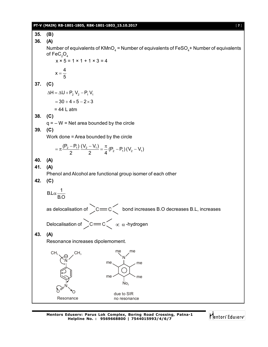#### **PT-V (MAIN) RB-1801-1805, RBK-1801-1803\_15.10.2017** [ **7** ]

**35. (B) 36. (A)** Number of equivalents of KMnO $_{\scriptscriptstyle 4}$  = Number of equivalents of FeSO $_{\scriptscriptstyle 4}$ + Number of equivalents of  $\mathsf{FeC_2O_4}$  $x \times 5 = 1 \times 1 + 1 \times 3 = 4$  $x = \frac{4}{5}$ 5  $=$ **37. (C)**  $\Delta H = \Delta U + P_2 V_2 - P_1 V_1$  $= 30 + 4 \times 5 - 2 \times 3$  $= 44 L$  atm **38. (C)**  $q = -W$  = Net area bounded by the circle **39. (C)** Work done = Area bounded by the circle  $\frac{(P_2 - P_1)}{2} \frac{(V_2 - V_1)}{2} = \frac{\pi}{4} (P_2 - P_1) (V_2 - V_1)$ 2 2 4  $=\pi\frac{(\mathsf{P}_2-\mathsf{P}_1)}{2}\frac{(\mathsf{V}_2-\mathsf{V}_1)}{2}=\frac{\pi}{4}(\mathsf{P}_2-\mathsf{P}_1)(\mathsf{V}_2-\mathsf{V}_1)$ **40. (A) 41. (A)** Phenol and Alcohol are functional group isomer of each other **42. (C)**  $B.L\alpha - \frac{1}{2}$ B.O  $\alpha$ as delocalisation of  $\gtrsim$  C  $\leq$  bond increases B.O decreases B.L, increases Delocalisation of  $\sum C$   $\equiv$   $C \left\{ \begin{array}{c} \propto \alpha \end{array} \right.$ -hydrogen **43. (A)** Resonance increases dipolemoment. N CH<sub>3</sub> N  $0<sub>o</sub>$  $No<sub>2</sub>$ N me me  $me$ ,  $\perp$   $\sqrt{me}$ me due to SIR me

no resonance

Resonance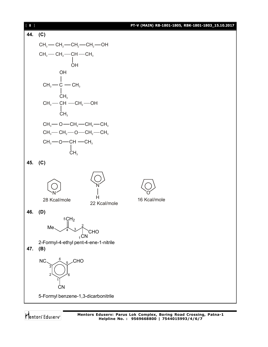

5-Formyl benzene-1,3-dicarbonitrile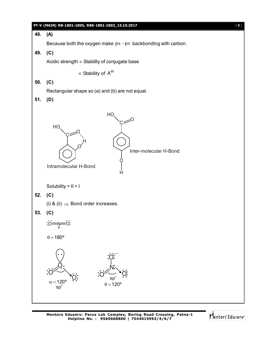

## **48. (A)**

Because both the oxygen make  $p\pi - p\pi$  backbonding with carbon.

**49. (C)**

Acidic strength  $\infty$  Stability of conjugate base

 $\propto$  Stability of  $\, {\sf A}^{\Theta} \,$ 

**50. (C)**

Rectangular shape so (a) and (b) are not equal.

**51. (D)**



Solubility = II > I

**52. (C)**

(i) & (ii)  $\Rightarrow$  Bond order increases.

$$
53. (C)
$$

0=Ņ=0 **. . . . . . . .**  $+$ 

 $\theta = 180^\circ$ 



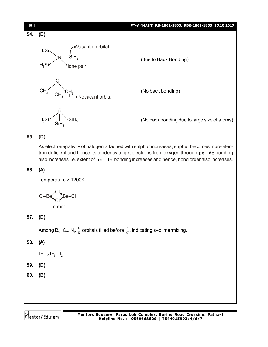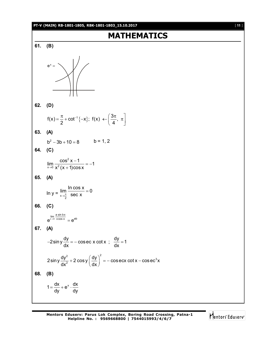#### **PT-V (MAIN) RB-1801-1805, RBK-1801-1803\_15.10.2017** [ **11** ]

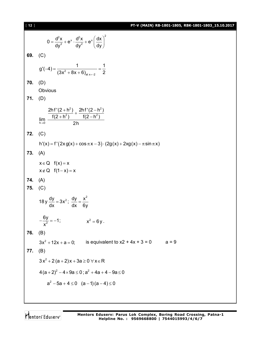[ **12** ] **PT-V (MAIN) RB-1801-1805, RBK-1801-1803\_15.10.2017**  $\int x^2$   $\int x^2 dx$   $\int x(x)^2$  $0 = \frac{d^2x}{dx^2} + e^x \cdot \frac{d^2x}{dx^2} + e^x \frac{dx}{dx}$ dy<sup>2</sup> dy<sup>2</sup> (dy  $=\frac{d^2x}{dy^2}+e^x\cdot\frac{d^2x}{dy^2}+e^x\left(\frac{dx}{dy}\right)^2$ **69.** (C)  $2^2 + 8x + 6$ <sub>dt x=-2</sub>  $g'(-4) = \frac{1}{(2a^2-1)(2a+1)} = \frac{1}{2}$  $(3x^2 + 8x + 6)_{at x=-2}$  2  $-4) = \frac{1}{(2 \cdot 3 \cdot 2 \cdot 2 \cdot 2)} = \frac{1}{2}$  $+8x+6$ **70.** (D) **Obvious 71.** (D)  $2)$  2hf'(2 h<sup>2</sup>  $2 \lambda$  f(2 h<sup>2</sup>) h $\rightarrow$ 0  $2h f'(2 + h^2)$   $2h f'(2 - h^2)$  $\lim_{h\to 0} \frac{f(2+h^2)}{2h}$   $\frac{f(2-h^2)}{2h}$  $+\frac{h^2}{2}$  +  $\frac{2hf'(2-h)}{f(2-h)}$  $+h^2$ )  $f(2-h)$ **72.** (C)  $h'(x) = f'(2x g(x) + \cos \pi x - 3) \cdot (2g(x) + 2xg(x) - \pi \sin \pi x)$ **73.** (A)  $x \in Q$   $f(x) = x$  $x \notin Q$   $f(1-x) = x$ **74.** (A) **75.** (C) 18 y  $\frac{dy}{dx} = 3x^2$ ;  $\frac{dy}{dx} = \frac{x^2}{2}$ dx dx 6y  $=3x^{2}$ ;  $\frac{dy}{dx} = \frac{1}{2}$  $\frac{6y}{x^2} = -1$ ; x  $-\frac{y}{x^2} = -1;$   $x^2 = 6y$ . **76.** (B)  $3x^2 + 12x + a = 0$ ; is equivalent to  $x^2 + 4x + 3 = 0$  a = 9 **77.** (B)  $3x^2 + 2(a + 2)x + 3a \ge 0 \,\forall x \in \mathsf{R}$  $4(a+2)^2 - 4 \times 9a \le 0$ ;  $a^2 + 4a + 4 - 9a \le 0$  $a^2 - 5a + 4 \le 0$   $(a-1)(a-4) \le 0$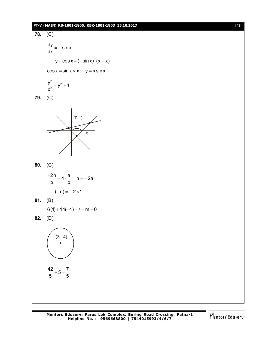#### **PT-V (MAIN) RB-1801-1805, RBK-1801-1803\_15.10.2017** [ **13** ]